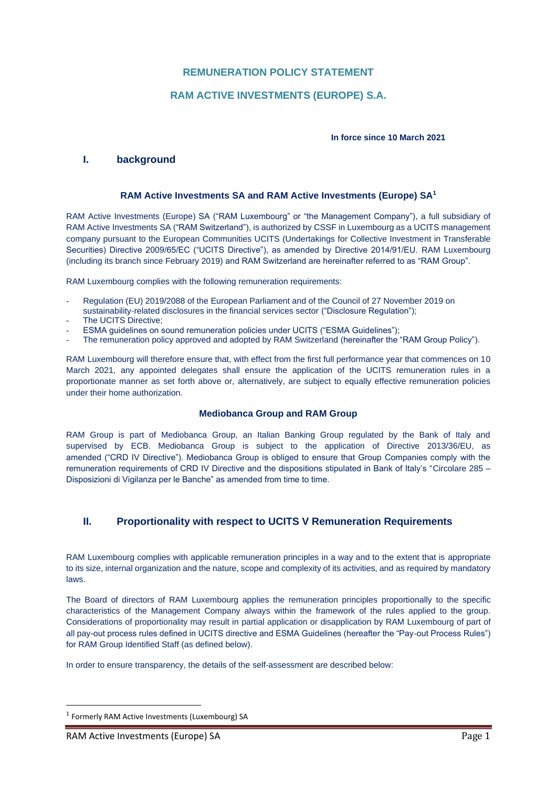## **REMUNERATION POLICY STATEMENT**

## **RAM ACTIVE INVESTMENTS (EUROPE) S.A.**

#### **In force since 10 March 2021**

## **I. background**

### **RAM Active Investments SA and RAM Active Investments (Europe) SA<sup>1</sup>**

RAM Active Investments (Europe) SA ("RAM Luxembourg" or "the Management Company"), a full subsidiary of RAM Active Investments SA ("RAM Switzerland"), is authorized by CSSF in Luxembourg as a UCITS management company pursuant to the European Communities UCITS (Undertakings for Collective Investment in Transferable Securities) Directive 2009/65/EC ("UCITS Directive"), as amended by Directive 2014/91/EU. RAM Luxembourg (including its branch since February 2019) and RAM Switzerland are hereinafter referred to as "RAM Group".

RAM Luxembourg complies with the following remuneration requirements:

- Regulation (EU) 2019/2088 of the European Parliament and of the Council of 27 November 2019 on sustainability-related disclosures in the financial services sector ("Disclosure Regulation");
- The UCITS Directive;
- ESMA guidelines on sound remuneration policies under UCITS ("ESMA Guidelines");
- The remuneration policy approved and adopted by RAM Switzerland (hereinafter the "RAM Group Policy").

RAM Luxembourg will therefore ensure that, with effect from the first full performance year that commences on 10 March 2021, any appointed delegates shall ensure the application of the UCITS remuneration rules in a proportionate manner as set forth above or, alternatively, are subject to equally effective remuneration policies under their home authorization.

## **Mediobanca Group and RAM Group**

RAM Group is part of Mediobanca Group, an Italian Banking Group regulated by the Bank of Italy and supervised by ECB. Mediobanca Group is subject to the application of Directive 2013/36/EU, as amended ("CRD IV Directive"). Mediobanca Group is obliged to ensure that Group Companies comply with the remuneration requirements of CRD IV Directive and the dispositions stipulated in Bank of Italy's "Circolare 285 – Disposizioni di Vigilanza per le Banche" as amended from time to time.

## **II. Proportionality with respect to UCITS V Remuneration Requirements**

RAM Luxembourg complies with applicable remuneration principles in a way and to the extent that is appropriate to its size, internal organization and the nature, scope and complexity of its activities, and as required by mandatory laws.

The Board of directors of RAM Luxembourg applies the remuneration principles proportionally to the specific characteristics of the Management Company always within the framework of the rules applied to the group. Considerations of proportionality may result in partial application or disapplication by RAM Luxembourg of part of all pay-out process rules defined in UCITS directive and ESMA Guidelines (hereafter the "Pay-out Process Rules") for RAM Group Identified Staff (as defined below).

In order to ensure transparency, the details of the self-assessment are described below:

<sup>&</sup>lt;sup>1</sup> Formerly RAM Active Investments (Luxembourg) SA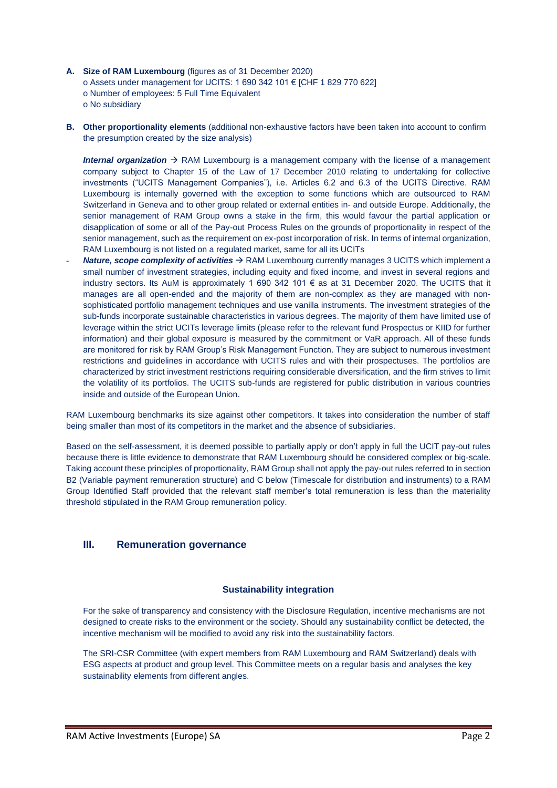- **A. Size of RAM Luxembourg** (figures as of 31 December 2020) o Assets under management for UCITS: 1 690 342 101 € [CHF 1 829 770 622] o Number of employees: 5 Full Time Equivalent o No subsidiary
- **B. Other proportionality elements** (additional non-exhaustive factors have been taken into account to confirm the presumption created by the size analysis)

*Internal organization* → RAM Luxembourg is a management company with the license of a management company subject to Chapter 15 of the Law of 17 December 2010 relating to undertaking for collective investments ("UCITS Management Companies"), i.e. Articles 6.2 and 6.3 of the UCITS Directive. RAM Luxembourg is internally governed with the exception to some functions which are outsourced to RAM Switzerland in Geneva and to other group related or external entities in- and outside Europe. Additionally, the senior management of RAM Group owns a stake in the firm, this would favour the partial application or disapplication of some or all of the Pay-out Process Rules on the grounds of proportionality in respect of the senior management, such as the requirement on ex-post incorporation of risk. In terms of internal organization, RAM Luxembourg is not listed on a regulated market, same for all its UCITs

*Nature, scope complexity of activities* → RAM Luxembourg currently manages 3 UCITS which implement a small number of investment strategies, including equity and fixed income, and invest in several regions and industry sectors. Its AuM is approximately 1 690 342 101 € as at 31 December 2020. The UCITS that it manages are all open-ended and the majority of them are non-complex as they are managed with nonsophisticated portfolio management techniques and use vanilla instruments. The investment strategies of the sub-funds incorporate sustainable characteristics in various degrees. The majority of them have limited use of leverage within the strict UCITs leverage limits (please refer to the relevant fund Prospectus or KIID for further information) and their global exposure is measured by the commitment or VaR approach. All of these funds are monitored for risk by RAM Group's Risk Management Function. They are subject to numerous investment restrictions and guidelines in accordance with UCITS rules and with their prospectuses. The portfolios are characterized by strict investment restrictions requiring considerable diversification, and the firm strives to limit the volatility of its portfolios. The UCITS sub-funds are registered for public distribution in various countries inside and outside of the European Union.

RAM Luxembourg benchmarks its size against other competitors. It takes into consideration the number of staff being smaller than most of its competitors in the market and the absence of subsidiaries.

Based on the self-assessment, it is deemed possible to partially apply or don't apply in full the UCIT pay-out rules because there is little evidence to demonstrate that RAM Luxembourg should be considered complex or big-scale. Taking account these principles of proportionality, RAM Group shall not apply the pay-out rules referred to in section B2 (Variable payment remuneration structure) and C below (Timescale for distribution and instruments) to a RAM Group Identified Staff provided that the relevant staff member's total remuneration is less than the materiality threshold stipulated in the RAM Group remuneration policy.

## **III. Remuneration governance**

#### **Sustainability integration**

For the sake of transparency and consistency with the Disclosure Regulation, incentive mechanisms are not designed to create risks to the environment or the society. Should any sustainability conflict be detected, the incentive mechanism will be modified to avoid any risk into the sustainability factors.

The SRI-CSR Committee (with expert members from RAM Luxembourg and RAM Switzerland) deals with ESG aspects at product and group level. This Committee meets on a regular basis and analyses the key sustainability elements from different angles.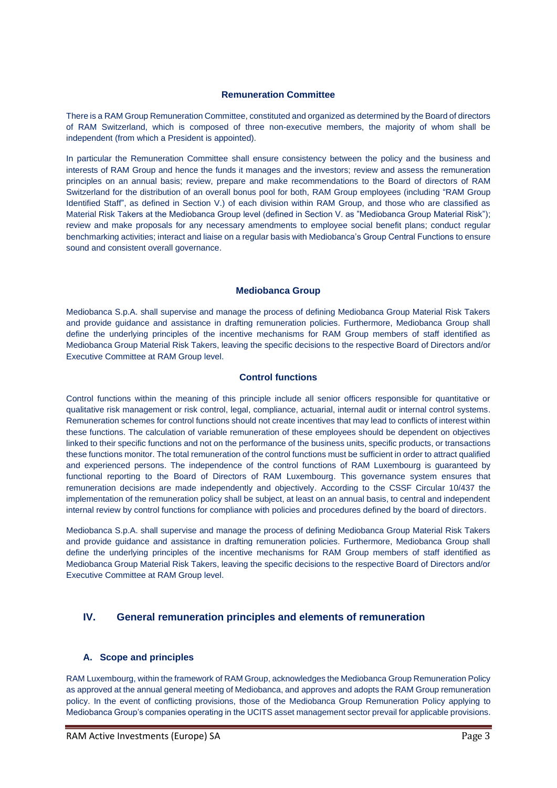#### **Remuneration Committee**

There is a RAM Group Remuneration Committee, constituted and organized as determined by the Board of directors of RAM Switzerland, which is composed of three non-executive members, the majority of whom shall be independent (from which a President is appointed).

In particular the Remuneration Committee shall ensure consistency between the policy and the business and interests of RAM Group and hence the funds it manages and the investors; review and assess the remuneration principles on an annual basis; review, prepare and make recommendations to the Board of directors of RAM Switzerland for the distribution of an overall bonus pool for both, RAM Group employees (including "RAM Group Identified Staff", as defined in Section V.) of each division within RAM Group, and those who are classified as Material Risk Takers at the Mediobanca Group level (defined in Section V. as "Mediobanca Group Material Risk"); review and make proposals for any necessary amendments to employee social benefit plans; conduct regular benchmarking activities; interact and liaise on a regular basis with Mediobanca's Group Central Functions to ensure sound and consistent overall governance.

#### **Mediobanca Group**

Mediobanca S.p.A. shall supervise and manage the process of defining Mediobanca Group Material Risk Takers and provide guidance and assistance in drafting remuneration policies. Furthermore, Mediobanca Group shall define the underlying principles of the incentive mechanisms for RAM Group members of staff identified as Mediobanca Group Material Risk Takers, leaving the specific decisions to the respective Board of Directors and/or Executive Committee at RAM Group level.

#### **Control functions**

Control functions within the meaning of this principle include all senior officers responsible for quantitative or qualitative risk management or risk control, legal, compliance, actuarial, internal audit or internal control systems. Remuneration schemes for control functions should not create incentives that may lead to conflicts of interest within these functions. The calculation of variable remuneration of these employees should be dependent on objectives linked to their specific functions and not on the performance of the business units, specific products, or transactions these functions monitor. The total remuneration of the control functions must be sufficient in order to attract qualified and experienced persons. The independence of the control functions of RAM Luxembourg is guaranteed by functional reporting to the Board of Directors of RAM Luxembourg. This governance system ensures that remuneration decisions are made independently and objectively. According to the CSSF Circular 10/437 the implementation of the remuneration policy shall be subject, at least on an annual basis, to central and independent internal review by control functions for compliance with policies and procedures defined by the board of directors.

Mediobanca S.p.A. shall supervise and manage the process of defining Mediobanca Group Material Risk Takers and provide guidance and assistance in drafting remuneration policies. Furthermore, Mediobanca Group shall define the underlying principles of the incentive mechanisms for RAM Group members of staff identified as Mediobanca Group Material Risk Takers, leaving the specific decisions to the respective Board of Directors and/or Executive Committee at RAM Group level.

## **IV. General remuneration principles and elements of remuneration**

### **A. Scope and principles**

RAM Luxembourg, within the framework of RAM Group, acknowledges the Mediobanca Group Remuneration Policy as approved at the annual general meeting of Mediobanca, and approves and adopts the RAM Group remuneration policy. In the event of conflicting provisions, those of the Mediobanca Group Remuneration Policy applying to Mediobanca Group's companies operating in the UCITS asset management sector prevail for applicable provisions.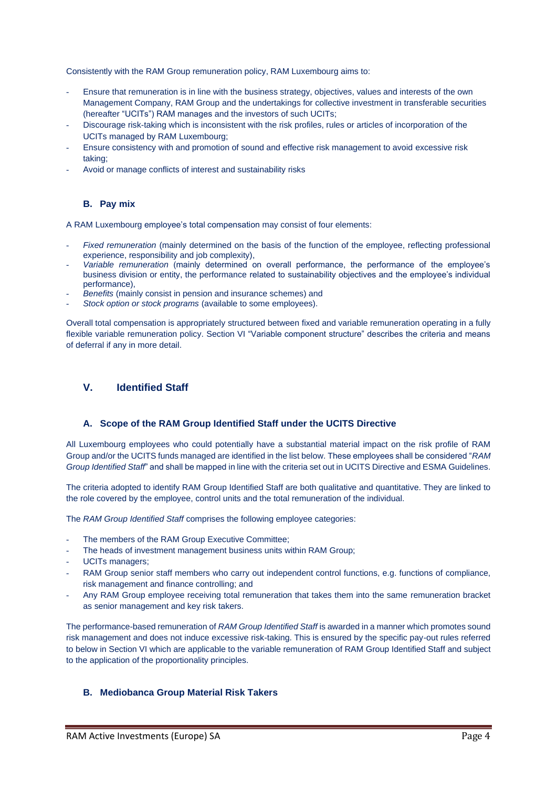Consistently with the RAM Group remuneration policy, RAM Luxembourg aims to:

- Ensure that remuneration is in line with the business strategy, objectives, values and interests of the own Management Company, RAM Group and the undertakings for collective investment in transferable securities (hereafter "UCITs") RAM manages and the investors of such UCITs;
- Discourage risk-taking which is inconsistent with the risk profiles, rules or articles of incorporation of the UCITs managed by RAM Luxembourg;
- Ensure consistency with and promotion of sound and effective risk management to avoid excessive risk taking;
- Avoid or manage conflicts of interest and sustainability risks

## **B. Pay mix**

A RAM Luxembourg employee's total compensation may consist of four elements:

- *Fixed remuneration* (mainly determined on the basis of the function of the employee, reflecting professional experience, responsibility and job complexity),
- *Variable remuneration* (mainly determined on overall performance, the performance of the employee's business division or entity, the performance related to sustainability objectives and the employee's individual performance),
- *Benefits* (mainly consist in pension and insurance schemes) and
- *Stock option or stock programs* (available to some employees).

Overall total compensation is appropriately structured between fixed and variable remuneration operating in a fully flexible variable remuneration policy. Section VI "Variable component structure" describes the criteria and means of deferral if any in more detail.

## **V. Identified Staff**

### **A. Scope of the RAM Group Identified Staff under the UCITS Directive**

All Luxembourg employees who could potentially have a substantial material impact on the risk profile of RAM Group and/or the UCITS funds managed are identified in the list below. These employees shall be considered "*RAM Group Identified Staff*" and shall be mapped in line with the criteria set out in UCITS Directive and ESMA Guidelines.

The criteria adopted to identify RAM Group Identified Staff are both qualitative and quantitative. They are linked to the role covered by the employee, control units and the total remuneration of the individual.

The *RAM Group Identified Staff* comprises the following employee categories:

- The members of the RAM Group Executive Committee;
- The heads of investment management business units within RAM Group;
- UCITs managers;
- RAM Group senior staff members who carry out independent control functions, e.g. functions of compliance, risk management and finance controlling; and
- Any RAM Group employee receiving total remuneration that takes them into the same remuneration bracket as senior management and key risk takers.

The performance-based remuneration of *RAM Group Identified Staff* is awarded in a manner which promotes sound risk management and does not induce excessive risk-taking. This is ensured by the specific pay-out rules referred to below in Section VI which are applicable to the variable remuneration of RAM Group Identified Staff and subject to the application of the proportionality principles.

## **B. Mediobanca Group Material Risk Takers**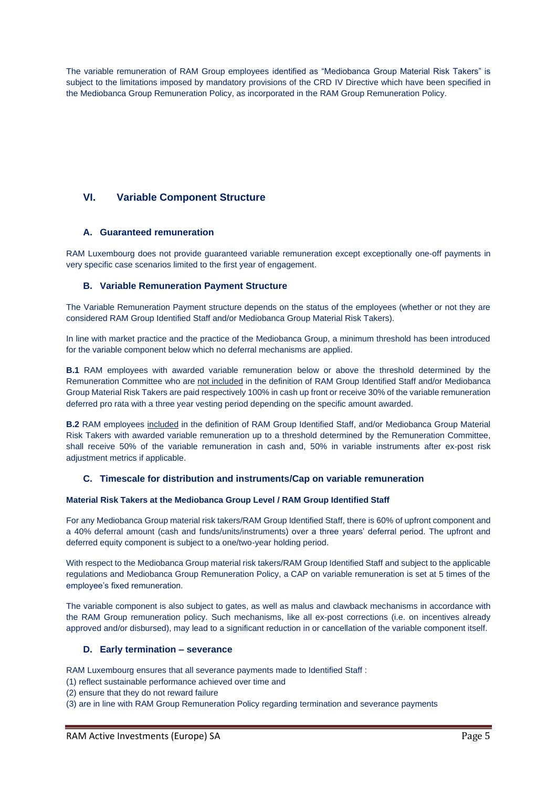The variable remuneration of RAM Group employees identified as "Mediobanca Group Material Risk Takers" is subject to the limitations imposed by mandatory provisions of the CRD IV Directive which have been specified in the Mediobanca Group Remuneration Policy, as incorporated in the RAM Group Remuneration Policy.

# **VI. Variable Component Structure**

## **A. Guaranteed remuneration**

RAM Luxembourg does not provide guaranteed variable remuneration except exceptionally one-off payments in very specific case scenarios limited to the first year of engagement.

## **B. Variable Remuneration Payment Structure**

The Variable Remuneration Payment structure depends on the status of the employees (whether or not they are considered RAM Group Identified Staff and/or Mediobanca Group Material Risk Takers).

In line with market practice and the practice of the Mediobanca Group, a minimum threshold has been introduced for the variable component below which no deferral mechanisms are applied.

**B.1** RAM employees with awarded variable remuneration below or above the threshold determined by the Remuneration Committee who are not included in the definition of RAM Group Identified Staff and/or Mediobanca Group Material Risk Takers are paid respectively 100% in cash up front or receive 30% of the variable remuneration deferred pro rata with a three year vesting period depending on the specific amount awarded.

**B.2** RAM employees included in the definition of RAM Group Identified Staff, and/or Mediobanca Group Material Risk Takers with awarded variable remuneration up to a threshold determined by the Remuneration Committee, shall receive 50% of the variable remuneration in cash and, 50% in variable instruments after ex-post risk adjustment metrics if applicable.

## **C. Timescale for distribution and instruments/Cap on variable remuneration**

#### **Material Risk Takers at the Mediobanca Group Level / RAM Group Identified Staff**

For any Mediobanca Group material risk takers/RAM Group Identified Staff, there is 60% of upfront component and a 40% deferral amount (cash and funds/units/instruments) over a three years' deferral period. The upfront and deferred equity component is subject to a one/two-year holding period.

With respect to the Mediobanca Group material risk takers/RAM Group Identified Staff and subject to the applicable regulations and Mediobanca Group Remuneration Policy, a CAP on variable remuneration is set at 5 times of the employee's fixed remuneration.

The variable component is also subject to gates, as well as malus and clawback mechanisms in accordance with the RAM Group remuneration policy. Such mechanisms, like all ex-post corrections (i.e. on incentives already approved and/or disbursed), may lead to a significant reduction in or cancellation of the variable component itself.

#### **D. Early termination – severance**

RAM Luxembourg ensures that all severance payments made to Identified Staff :

- (1) reflect sustainable performance achieved over time and
- (2) ensure that they do not reward failure

(3) are in line with RAM Group Remuneration Policy regarding termination and severance payments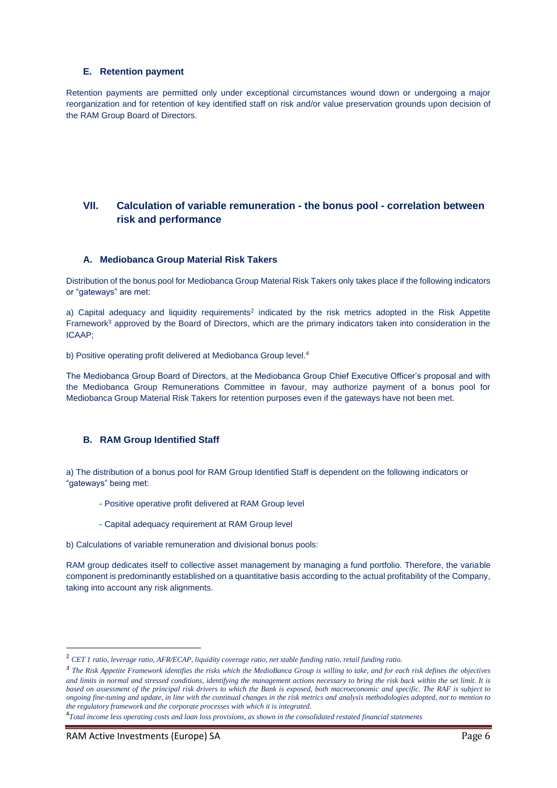### **E. Retention payment**

Retention payments are permitted only under exceptional circumstances wound down or undergoing a major reorganization and for retention of key identified staff on risk and/or value preservation grounds upon decision of the RAM Group Board of Directors.

# **VII. Calculation of variable remuneration - the bonus pool - correlation between risk and performance**

#### **A. Mediobanca Group Material Risk Takers**

Distribution of the bonus pool for Mediobanca Group Material Risk Takers only takes place if the following indicators or "gateways" are met:

a) Capital adequacy and liquidity requirements<sup>2</sup> indicated by the risk metrics adopted in the Risk Appetite Framework<sup>3</sup> approved by the Board of Directors, which are the primary indicators taken into consideration in the ICAAP;

b) Positive operating profit delivered at Mediobanca Group level.<sup>4</sup>

The Mediobanca Group Board of Directors, at the Mediobanca Group Chief Executive Officer's proposal and with the Mediobanca Group Remunerations Committee in favour, may authorize payment of a bonus pool for Mediobanca Group Material Risk Takers for retention purposes even if the gateways have not been met.

## **B. RAM Group Identified Staff**

a) The distribution of a bonus pool for RAM Group Identified Staff is dependent on the following indicators or "gateways" being met:

- Positive operative profit delivered at RAM Group level
- Capital adequacy requirement at RAM Group level
- b) Calculations of variable remuneration and divisional bonus pools:

RAM group dedicates itself to collective asset management by managing a fund portfolio. Therefore, the variable component is predominantly established on a quantitative basis according to the actual profitability of the Company, taking into account any risk alignments.

<sup>2</sup> *CET 1 ratio, leverage ratio, AFR/ECAP, liquidity coverage ratio, net stable funding ratio, retail funding ratio.*

<sup>&</sup>lt;sup>3</sup> The Risk Appetite Framework identifies the risks which the MedioBanca Group is willing to take, and for each risk defines the objectives *and limits in normal and stressed conditions, identifying the management actions necessary to bring the risk back within the set limit. It is based on assessment of the principal risk drivers to which the Bank is exposed, both macroeconomic and specific. The RAF is subject to ongoing fine-tuning and update, in line with the continual changes in the risk metrics and analysis methodologies adopted, not to mention to the regulatory framework and the corporate processes with which it is integrated.*

<sup>4</sup> *Total income less operating costs and loan loss provisions, as shown in the consolidated restated financial statements*